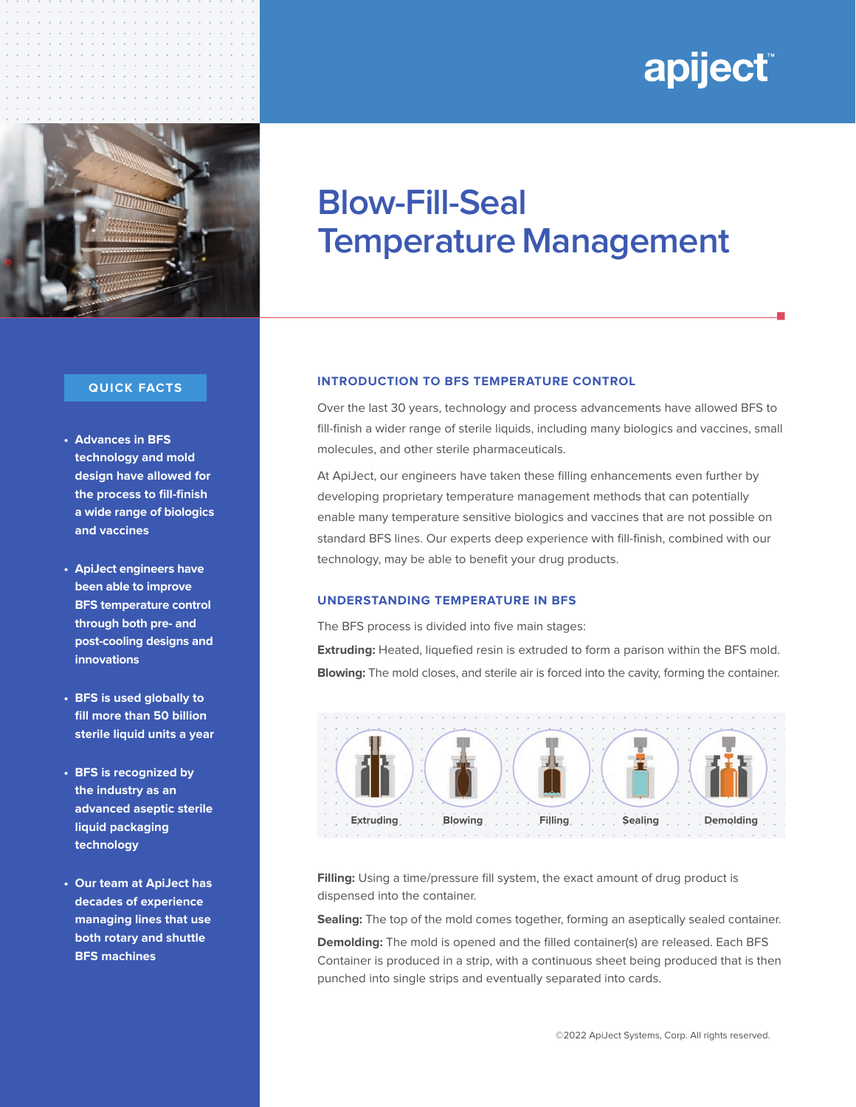# apiject

n



#### **QUICK FACTS**

- **Advances in BFS technology and mold design have allowed for the process to fill-finish a wide range of biologics and vaccines**
- **ApiJect engineers have been able to improve BFS temperature control through both pre- and post-cooling designs and innovations**
- **BFS is used globally to fill more than 50 billion sterile liquid units a year**
- **BFS is recognized by the industry as an advanced aseptic sterile liquid packaging technology**
- **Our team at ApiJect has decades of experience managing lines that use both rotary and shuttle BFS machines**

## **Blow-Fill-Seal Temperature Management**

#### **INTRODUCTION TO BFS TEMPERATURE CONTROL**

Over the last 30 years, technology and process advancements have allowed BFS to fill-finish a wider range of sterile liquids, including many biologics and vaccines, small molecules, and other sterile pharmaceuticals.

At ApiJect, our engineers have taken these filling enhancements even further by developing proprietary temperature management methods that can potentially enable many temperature sensitive biologics and vaccines that are not possible on standard BFS lines. Our experts deep experience with fill-finish, combined with our technology, may be able to benefit your drug products.

#### **UNDERSTANDING TEMPERATURE IN BFS**

The BFS process is divided into five main stages:

**Extruding:** Heated, liquefied resin is extruded to form a parison within the BFS mold. **Blowing:** The mold closes, and sterile air is forced into the cavity, forming the container.



**Filling:** Using a time/pressure fill system, the exact amount of drug product is dispensed into the container.

**Sealing:** The top of the mold comes together, forming an aseptically sealed container.

**Demolding:** The mold is opened and the filled container(s) are released. Each BFS Container is produced in a strip, with a continuous sheet being produced that is then punched into single strips and eventually separated into cards.